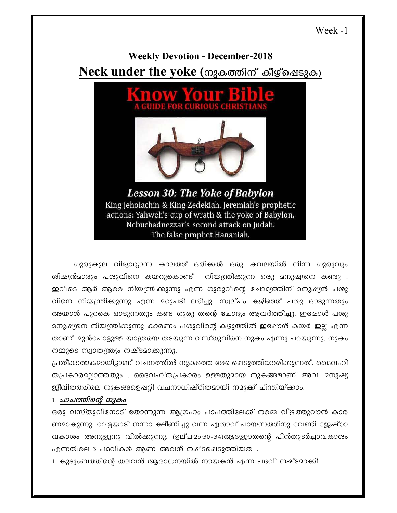# Week -1

# **Weekly Devotion - December-2018** Neck under the yoke (നുകത്തിന് കീഴ്ചെടുക)



ഗുരുകുല വിദ്യാഭ്യാസ കാലത്ത് ഒരിക്കൽ ഒരു കവലയിൽ നിന്ന ഗുരുവും ശിഷ്യൻമാരും പശുവിനെ കയറുകൊണ്ട് നിയന്ത്രിക്കുന്ന ഒരു മനുഷ്യനെ കണ്ടു . ഇവിടെ ആർ ആരെ നിയന്ത്രിക്കുന്നു എന്ന ഗുരുവിന്റെ ചോദ്യത്തിന് മനുഷ്യൻ പശു വിനെ നിയന്ത്രിക്കുന്നു എന്ന മറുപടി ലഭിച്ചു. സ്വല്പം കഴിഞ്ഞ് പശു ഓടുന്നതും അയാൾ പുറകെ ഓടുന്നതും കണ്ട ഗുരു തന്റെ ചോദ്യം ആവർത്തിച്ചു. ഇപ്പോൾ പശു <u>ാ</u>നുഷ്യനെ നിയന്ത്രിക്കുന്നു കാരണം പശുവിന്റെ കഴുത്തിൽ ഇഷോൾ കയർ ഇല്ല എന്ന താണ്. മുൻപോട്ടുള്ള യാത്രയെ തടയുന്ന വസ്തുവിനെ നുകം എന്നു പറയുന്നു. നുകം നമ്മുടെ സ്വാതന്ത്ര്യം നഷ്ടമാക്കുന്നു.

പ്രതീകാത്മകമായിട്ടാണ് വചനത്തിൽ നുകത്തെ രേഖപ്പെടുത്തിയാരിക്കുന്നത്. ദൈവഹി തപ്രകാരമല്ലാത്തതും , ദൈവഹിതപ്രകാരം ഉള്ളതുമായ നുകങ്ങളാണ് അവ. മനുഷ്യ ജീവിതത്തിലെ നുകങ്ങളെപ്പറ്റി വചനാധിഷ്ഠിതമായി നമുക്ക് ചിന്തിയ്ക്കാം.

## 1. പാപത്തിന്റെ നുകം

ഒരു വസ്തുവിനോട് തോന്നുന്ന ആഗ്രഹം പാപത്തിലേക്ക് നമ്മെ വീഴ്ത്തുവാൻ കാര ണമാകുന്നു. വേട്ടയാടി നന്നാ ക്ഷീണിച്ചു വന്ന ഏശാവ് പായസത്തിനു വേണ്ടി ജേഷ്ഠാ വകാശം അനുജനു വിൽക്കുന്നു. (ഉല്പ:25:30-34)ആദ്യജാതന്റെ പിൻതുടർച്ചാവകാശം എന്നതിലെ 3 പദവികൾ ആണ് അവൻ നഷ്ടപ്പെടുത്തിയത് .

1. കുടുംബത്തിന്റെ തലവൻ ആരാധനയിൽ നായകൻ എന്ന പദവി നഷ്ടമാക്കി.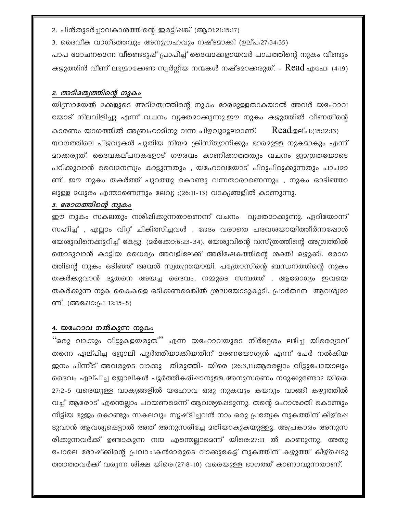2. പിൻതുടർച്ചാവകാശത്തിന്റെ ഇരട്ടിപ്പങ്ക് (ആവ:21:15:17)

3. ദൈവീക വാഗ്ദത്തവും അനുഗ്രഹവും നഷ്ടമാക്കി (ഉല്പ:27:34:35)

പാപ മോചനമെന്ന വീണ്ടെടുപ്പ് പ്രാപിച്ച് ദൈവമക്കളായവർ പാപത്തിന്റെ നുകം വീണ്ടും കഴുത്തിൻ വീണ് ലഭ്യമാക്കേണ്ട സ്വർഗ്ഗീയ നന്മകൾ നഷ്ടമാക്കരുത്. -  $\,$ Read എഫേ: (4:19)

### 2. അടിമത്വത്തിന്റെ നുകം

യിസ്രായേൽ മക്കളുടെ അടിമത്വത്തിന്റെ നുകം ഭാരമുള്ളതാകയാൽ അവർ യഹോവ യോട് നിലവിളിച്ചു എന്ന് വചനം വ്യക്തമാക്കുന്നു.ഈ നുകം കഴുത്തിൽ വീണതിന്റെ കാരണം യാഗത്തിൽ അബ്രഹാമിനു വന്ന പിഴവുമൂലമാണ്. Read:ഉല്പ:(15:12:13) യാഗത്തിലെ പിഴവുകൾ പുതിയ നിയമ ക്രിസ്ത്യാനിക്കും ഭാരമുള്ള നുകമാകും എന്ന് മറക്കരുത്. ദൈവകല്പനകളോട് ഗൗരവം കാണിക്കാത്തതും വചനം ജാഗ്രതയോടെ പഠിക്കുവാൻ വൈമനസ്യം കാട്ടുന്നതും , യഹോവയോട് പിറുപിറുക്കുന്നതും പാപമാ ണ്. ഈ നുകം തകർത്ത് പുറത്തു കൊണ്ടു വന്നതാരാണെന്നും , നുകം ഓടിഞ്ഞാ ലുള്ള മധുരം എന്താണെന്നും ലേവ്യ :(26:11-13) വാക്യങ്ങളിൽ കാണുന്നു.

#### 3. രോഗത്തിന്റെ നുകം

ഈ നുകം സകലതും നശിഷിക്കുന്നതാണെന്ന് വചനം വ്യക്തമാക്കുന്നു. ഏറിയോന്ന് സഹിച്ച് , എല്ലാം വിറ്റ് ചികിത്സിച്ചവൾ , ഭേദം വരാതെ പരവശയായിത്തീർന്നപ്പോൾ യേശുവിനെക്കുറിച്ച് കേട്ടു. (മർക്കോ:6:23-34). യേശുവിന്റെ വസ്ത്രത്തിന്റെ അഗ്രത്തിൽ തൊടുവാൻ കാട്ടിയ ധൈര്യം അവളിലേക്ക് അഭിഷേകത്തിന്റെ ശക്തി ഒഴുക്കി. രോഗ ത്തിന്റെ നുകം ഒടിഞ്ഞ് അവൾ സ്വതന്ത്രയായി. പത്രോസിന്റെ ബന്ധനത്തിന്റെ നുകം തകർക്കുവാൻ ദൂതനെ അയച്ച ദൈവം, നമ്മുടെ സമ്പത്ത് , ആരോഗ്യം ഇവയെ തകർക്കുന്ന നുക കൈകളെ ഒടിക്കണമെങ്കിൽ ശ്രദ്ധയോടുകൂടി. പ്രാർത്ഥന ആവശ്യമാ ണ്. (അഷോ:പ്ര 12:15-8)

## 4. യഹോവ നൽകുന്ന നുകം

''ഒരു വാക്കും വിട്ടുകളയരുത്'' എന്ന യഹോവയുടെ നിർദ്ദേശം ലഭിച്ച യിരെ**മ്യാവ്** തന്നെ ഏല്പിച്ച ജോലി പൂർത്തിയാക്കിയതിന് മരണയോഗ്യൻ എന്ന് പേർ നൽകിയ ജനം പിന്നീട് അവരുടെ വാക്കു തിരുത്തി- യിരെ (26:3,11)ആരെല്ലാം വിട്ടുപോയാലും ദൈവം ഏല്പിച്ച ജോലികൾ പൂർത്തീകരിഷാനുള്ള അനുസരണം നമുക്കുണ്ടോ? യിരെ: 27:2-5 വരെയുള്ള വാക്യങ്ങളിൽ യഹോവ ഒരു നുകവും കയറും വാങ്ങി കഴുത്തിൽ വച്ച് ആരോട് എന്തെല്ലാം പറയണമെന്ന് ആവശ്യപ്പെടുന്നു. തന്റെ മഹാശക്തി കൊണ്ടും നീട്ടിയ ഭുജം കൊണ്ടും സകലവും സൃഷ്ടിച്ചവൻ നാം ഒരു പ്രത്യേക നുകത്തിന് കീഴ്ചെ ടുവാൻ ആവശ്യപ്പെട്ടാൽ അത് അനുസരിച്ചേ മതിയാകുകയുള്ളൂ. അപ്രകാരം അനുസ രിക്കുന്നവർക്ക് ഉണ്ടാകുന്ന നന്മ എന്തെല്ലാമെന്ന് യിരെ:27:11 ൽ കാണുന്നു. അതു പോലെ ഭോഷ്ക്കിന്റെ പ്രവാചകൻമാരുടെ വാക്കുകേട്ട് നുകത്തിന് കഴുത്ത് കീഴ്പ്പെടു ത്താത്തവർക്ക് വരുന്ന ശിക്ഷ യിരെ:(27:8-10) വരെയുള്ള ഭാഗത്ത് കാണാവുന്നതാണ്.